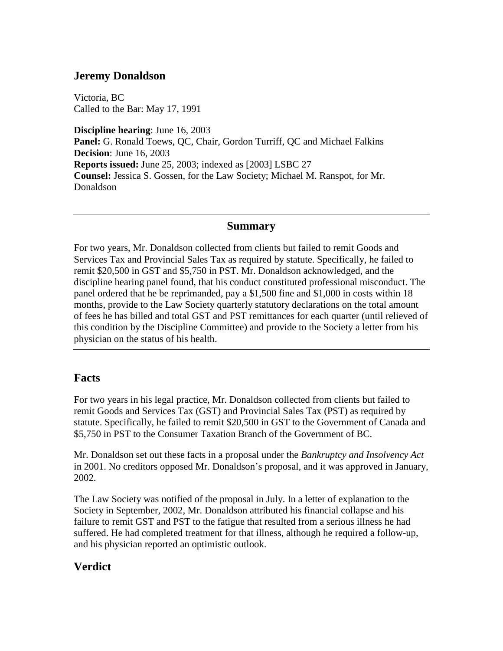## **Jeremy Donaldson**

Victoria, BC Called to the Bar: May 17, 1991

**Discipline hearing**: June 16, 2003 **Panel:** G. Ronald Toews, QC, Chair, Gordon Turriff, QC and Michael Falkins **Decision**: June 16, 2003 **Reports issued:** June 25, 2003; indexed as [2003] LSBC 27 **Counsel:** Jessica S. Gossen, for the Law Society; Michael M. Ranspot, for Mr. Donaldson

#### **Summary**

For two years, Mr. Donaldson collected from clients but failed to remit Goods and Services Tax and Provincial Sales Tax as required by statute. Specifically, he failed to remit \$20,500 in GST and \$5,750 in PST. Mr. Donaldson acknowledged, and the discipline hearing panel found, that his conduct constituted professional misconduct. The panel ordered that he be reprimanded, pay a \$1,500 fine and \$1,000 in costs within 18 months, provide to the Law Society quarterly statutory declarations on the total amount of fees he has billed and total GST and PST remittances for each quarter (until relieved of this condition by the Discipline Committee) and provide to the Society a letter from his physician on the status of his health.

### **Facts**

For two years in his legal practice, Mr. Donaldson collected from clients but failed to remit Goods and Services Tax (GST) and Provincial Sales Tax (PST) as required by statute. Specifically, he failed to remit \$20,500 in GST to the Government of Canada and \$5,750 in PST to the Consumer Taxation Branch of the Government of BC.

Mr. Donaldson set out these facts in a proposal under the *Bankruptcy and Insolvency Act* in 2001. No creditors opposed Mr. Donaldson's proposal, and it was approved in January, 2002.

The Law Society was notified of the proposal in July. In a letter of explanation to the Society in September, 2002, Mr. Donaldson attributed his financial collapse and his failure to remit GST and PST to the fatigue that resulted from a serious illness he had suffered. He had completed treatment for that illness, although he required a follow-up, and his physician reported an optimistic outlook.

## **Verdict**